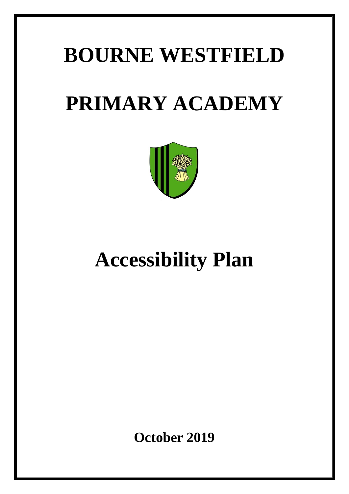# **BOURNE WESTFIELD PRIMARY ACADEMY**



# **Accessibility Plan**

**October 2019**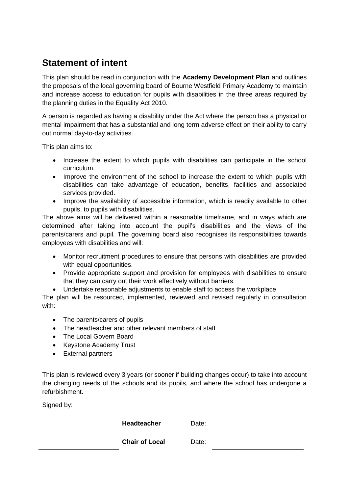### **Statement of intent**

This plan should be read in conjunction with the **Academy Development Plan** and outlines the proposals of the local governing board of Bourne Westfield Primary Academy to maintain and increase access to education for pupils with disabilities in the three areas required by the planning duties in the Equality Act 2010.

A person is regarded as having a disability under the Act where the person has a physical or mental impairment that has a substantial and long term adverse effect on their ability to carry out normal day-to-day activities.

This plan aims to:

- Increase the extent to which pupils with disabilities can participate in the school curriculum.
- Improve the environment of the school to increase the extent to which pupils with disabilities can take advantage of education, benefits, facilities and associated services provided.
- Improve the availability of accessible information, which is readily available to other pupils, to pupils with disabilities.

The above aims will be delivered within a reasonable timeframe, and in ways which are determined after taking into account the pupil's disabilities and the views of the parents/carers and pupil. The governing board also recognises its responsibilities towards employees with disabilities and will:

- Monitor recruitment procedures to ensure that persons with disabilities are provided with equal opportunities.
- Provide appropriate support and provision for employees with disabilities to ensure that they can carry out their work effectively without barriers.
- Undertake reasonable adjustments to enable staff to access the workplace.

The plan will be resourced, implemented, reviewed and revised regularly in consultation with:

- The parents/carers of pupils
- The headteacher and other relevant members of staff
- The Local Govern Board
- Keystone Academy Trust
- External partners

This plan is reviewed every 3 years (or sooner if building changes occur) to take into account the changing needs of the schools and its pupils, and where the school has undergone a refurbishment.

Signed by:

**Headteacher** Date:

**Chair of Local Date:**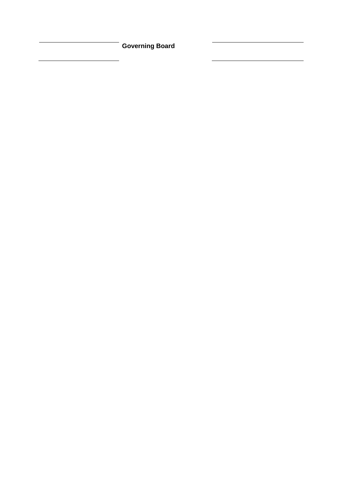**Governing Board**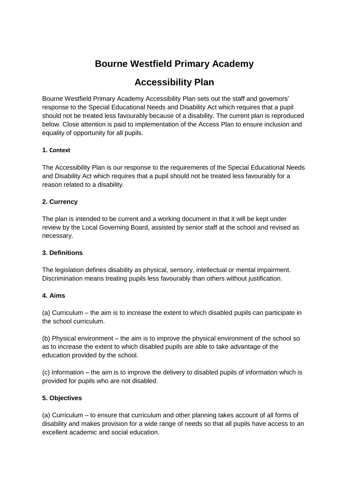# **Bourne Westfield Primary Academy**

## **Accessibility Plan**

Bourne Westfield Primary Academy Accessibility Plan sets out the staff and governors' response to the Special Educational Needs and Disability Act which requires that a pupil should not be treated less favourably because of a disability. The current plan is reproduced below. Close attention is paid to implementation of the Access Plan to ensure inclusion and equality of opportunity for all pupils.

#### **1. Context**

The Accessibility Plan is our response to the requirements of the Special Educational Needs and Disability Act which requires that a pupil should not be treated less favourably for a reason related to a disability.

#### **2. Currency**

The plan is intended to be current and a working document in that it will be kept under review by the Local Governing Board, assisted by senior staff at the school and revised as necessary.

#### **3. Definitions**

The legislation defines disability as physical, sensory, intellectual or mental impairment. Discrimination means treating pupils less favourably than others without justification.

#### **4. Aims**

(a) Curriculum – the aim is to increase the extent to which disabled pupils can participate in the school curriculum.

(b) Physical environment – the aim is to improve the physical environment of the school so as to increase the extent to which disabled pupils are able to take advantage of the education provided by the school.

(c) Information – the aim is to improve the delivery to disabled pupils of information which is provided for pupils who are not disabled.

#### **5. Objectives**

(a) Curriculum – to ensure that curriculum and other planning takes account of all forms of disability and makes provision for a wide range of needs so that all pupils have access to an excellent academic and social education.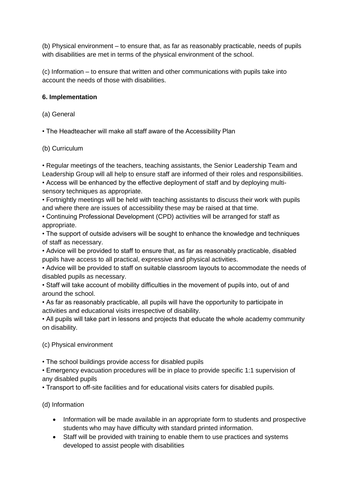(b) Physical environment – to ensure that, as far as reasonably practicable, needs of pupils with disabilities are met in terms of the physical environment of the school.

(c) Information – to ensure that written and other communications with pupils take into account the needs of those with disabilities.

#### **6. Implementation**

(a) General

• The Headteacher will make all staff aware of the Accessibility Plan

#### (b) Curriculum

• Regular meetings of the teachers, teaching assistants, the Senior Leadership Team and

Leadership Group will all help to ensure staff are informed of their roles and responsibilities. • Access will be enhanced by the effective deployment of staff and by deploying multi-

sensory techniques as appropriate.

• Fortnightly meetings will be held with teaching assistants to discuss their work with pupils and where there are issues of accessibility these may be raised at that time.

• Continuing Professional Development (CPD) activities will be arranged for staff as appropriate.

• The support of outside advisers will be sought to enhance the knowledge and techniques of staff as necessary.

• Advice will be provided to staff to ensure that, as far as reasonably practicable, disabled pupils have access to all practical, expressive and physical activities.

• Advice will be provided to staff on suitable classroom layouts to accommodate the needs of disabled pupils as necessary.

• Staff will take account of mobility difficulties in the movement of pupils into, out of and around the school.

• As far as reasonably practicable, all pupils will have the opportunity to participate in activities and educational visits irrespective of disability.

• All pupils will take part in lessons and projects that educate the whole academy community on disability.

(c) Physical environment

• The school buildings provide access for disabled pupils

• Emergency evacuation procedures will be in place to provide specific 1:1 supervision of any disabled pupils

• Transport to off-site facilities and for educational visits caters for disabled pupils.

(d) Information

- Information will be made available in an appropriate form to students and prospective students who may have difficulty with standard printed information.
- Staff will be provided with training to enable them to use practices and systems developed to assist people with disabilities